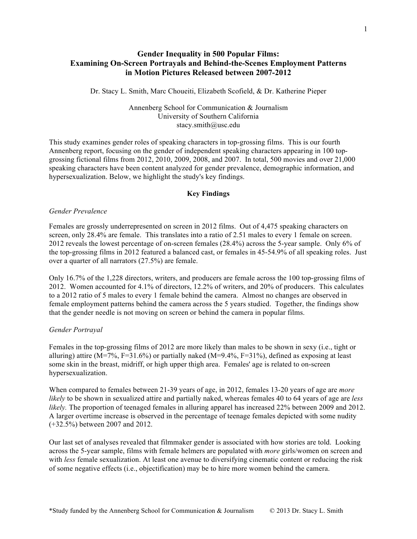## **Gender Inequality in 500 Popular Films: Examining On-Screen Portrayals and Behind-the-Scenes Employment Patterns in Motion Pictures Released between 2007-2012**

Dr. Stacy L. Smith, Marc Choueiti, Elizabeth Scofield, & Dr. Katherine Pieper

Annenberg School for Communication & Journalism University of Southern California stacy.smith@usc.edu

This study examines gender roles of speaking characters in top-grossing films. This is our fourth Annenberg report, focusing on the gender of independent speaking characters appearing in 100 topgrossing fictional films from 2012, 2010, 2009, 2008, and 2007. In total, 500 movies and over 21,000 speaking characters have been content analyzed for gender prevalence, demographic information, and hypersexualization. Below, we highlight the study's key findings.

### **Key Findings**

#### *Gender Prevalence*

Females are grossly underrepresented on screen in 2012 films. Out of 4,475 speaking characters on screen, only 28.4% are female. This translates into a ratio of 2.51 males to every 1 female on screen. 2012 reveals the lowest percentage of on-screen females (28.4%) across the 5-year sample. Only 6% of the top-grossing films in 2012 featured a balanced cast, or females in 45-54.9% of all speaking roles. Just over a quarter of all narrators (27.5%) are female.

Only 16.7% of the 1,228 directors, writers, and producers are female across the 100 top-grossing films of 2012. Women accounted for 4.1% of directors, 12.2% of writers, and 20% of producers. This calculates to a 2012 ratio of 5 males to every 1 female behind the camera. Almost no changes are observed in female employment patterns behind the camera across the 5 years studied. Together, the findings show that the gender needle is not moving on screen or behind the camera in popular films.

#### *Gender Portrayal*

Females in the top-grossing films of 2012 are more likely than males to be shown in sexy (i.e., tight or alluring) attire (M=7%, F=31.6%) or partially naked (M=9.4%, F=31%), defined as exposing at least some skin in the breast, midriff, or high upper thigh area. Females' age is related to on-screen hypersexualization.

When compared to females between 21-39 years of age, in 2012, females 13-20 years of age are *more likely* to be shown in sexualized attire and partially naked, whereas females 40 to 64 years of age are *less likely.* The proportion of teenaged females in alluring apparel has increased 22% between 2009 and 2012. A larger overtime increase is observed in the percentage of teenage females depicted with some nudity (+32.5%) between 2007 and 2012.

Our last set of analyses revealed that filmmaker gender is associated with how stories are told. Looking across the 5-year sample, films with female helmers are populated with *more* girls/women on screen and with *less* female sexualization. At least one avenue to diversifying cinematic content or reducing the risk of some negative effects (i.e., objectification) may be to hire more women behind the camera.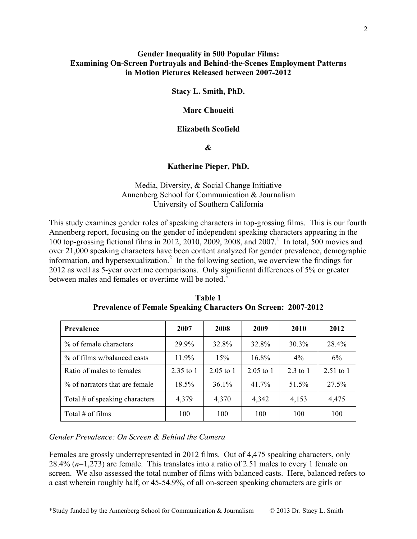## **Gender Inequality in 500 Popular Films: Examining On-Screen Portrayals and Behind-the-Scenes Employment Patterns in Motion Pictures Released between 2007-2012**

**Stacy L. Smith, PhD.** 

## **Marc Choueiti**

## **Elizabeth Scofield**

### **&**

### **Katherine Pieper, PhD.**

## Media, Diversity, & Social Change Initiative Annenberg School for Communication & Journalism University of Southern California

This study examines gender roles of speaking characters in top-grossing films. This is our fourth Annenberg report, focusing on the gender of independent speaking characters appearing in the 100 top-grossing fictional films in 2012, 2010, 2009, 2008, and 2007.<sup>1</sup> In total, 500 movies and over 21,000 speaking characters have been content analyzed for gender prevalence, demographic information, and hypersexualization.<sup>2</sup> In the following section, we overview the findings for 2012 as well as 5-year overtime comparisons. Only significant differences of 5% or greater between males and females or overtime will be noted.<sup>3</sup>

| <b>Prevalence</b>                | 2007      | 2008        | 2009        | 2010     | 2012        |
|----------------------------------|-----------|-------------|-------------|----------|-------------|
| % of female characters           | 29.9%     | 32.8%       | 32.8%       | 30.3%    | 28.4%       |
| % of films w/balanced casts      | $11.9\%$  | 15%         | $16.8\%$    | $4\%$    | 6%          |
| Ratio of males to females        | 2.35 to 1 | $2.05$ to 1 | $2.05$ to 1 | 2.3 to 1 | $2.51$ to 1 |
| % of narrators that are female   | 18.5%     | $36.1\%$    | 41.7%       | 51.5%    | 27.5%       |
| Total $#$ of speaking characters | 4,379     | 4,370       | 4,342       | 4,153    | 4,475       |
| Total $#$ of films               | 100       | 100         | 100         | 100      | 100         |

**Table 1 Prevalence of Female Speaking Characters On Screen: 2007-2012**

*Gender Prevalence: On Screen & Behind the Camera*

Females are grossly underrepresented in 2012 films. Out of 4,475 speaking characters, only 28.4% (*n*=1,273) are female. This translates into a ratio of 2.51 males to every 1 female on screen. We also assessed the total number of films with balanced casts. Here, balanced refers to a cast wherein roughly half, or 45-54.9%, of all on-screen speaking characters are girls or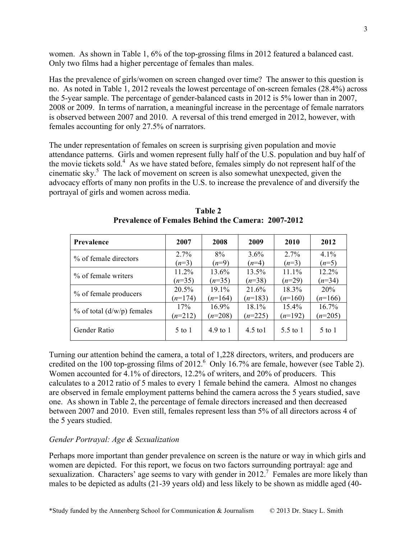women. As shown in Table 1, 6% of the top-grossing films in 2012 featured a balanced cast. Only two films had a higher percentage of females than males.

Has the prevalence of girls/women on screen changed over time? The answer to this question is no. As noted in Table 1, 2012 reveals the lowest percentage of on-screen females (28.4%) across the 5-year sample. The percentage of gender-balanced casts in 2012 is 5% lower than in 2007, 2008 or 2009. In terms of narration, a meaningful increase in the percentage of female narrators is observed between 2007 and 2010. A reversal of this trend emerged in 2012, however, with females accounting for only 27.5% of narrators.

The under representation of females on screen is surprising given population and movie attendance patterns. Girls and women represent fully half of the U.S. population and buy half of the movie tickets sold.<sup>4</sup> As we have stated before, females simply do not represent half of the cinematic sky. $5$  The lack of movement on screen is also somewhat unexpected, given the advocacy efforts of many non profits in the U.S. to increase the prevalence of and diversify the portrayal of girls and women across media.

| Prevalence                       | 2007      | 2008                | 2009       | 2010      | 2012       |
|----------------------------------|-----------|---------------------|------------|-----------|------------|
| % of female directors            | $2.7\%$   | 8%                  | 3.6%       | $2.7\%$   | 4.1%       |
|                                  | $(n=3)$   | $(n=9)$             | $(n=4)$    | $(n=3)$   | $(n=5)$    |
| % of female writers              | 11.2%     | 13.6%               | 13.5%      | $11.1\%$  | 12.2%      |
|                                  | $(n=35)$  | $(n=35)$            | $(n=38)$   | $(n=29)$  | $(n=34)$   |
| % of female producers            | 20.5%     | 19.1%               | 21.6%      | 18.3%     | 20%        |
|                                  | $(n=174)$ | $(n=164)$           | $(n=183)$  | $(n=160)$ | $(n=166)$  |
| $%$ of total ( $d/w/p$ ) females | 17%       | $16.9\%$            | 18.1%      | $15.4\%$  | 16.7%      |
|                                  | $(n=212)$ | $(n=208)$           | $(n=225)$  | $(n=192)$ | $(n=205)$  |
| Gender Ratio                     | $5$ to 1  | $4.9 \text{ to } 1$ | $4.5$ to 1 | 5.5 to 1  | $5$ to $1$ |

**Table 2 Prevalence of Females Behind the Camera: 2007-2012**

Turning our attention behind the camera, a total of 1,228 directors, writers, and producers are credited on the 100 top-grossing films of 2012.<sup>6</sup> Only 16.7% are female, however (see Table 2). Women accounted for 4.1% of directors, 12.2% of writers, and 20% of producers. This calculates to a 2012 ratio of 5 males to every 1 female behind the camera. Almost no changes are observed in female employment patterns behind the camera across the 5 years studied, save one. As shown in Table 2, the percentage of female directors increased and then decreased between 2007 and 2010. Even still, females represent less than 5% of all directors across 4 of the 5 years studied.

## *Gender Portrayal: Age & Sexualization*

Perhaps more important than gender prevalence on screen is the nature or way in which girls and women are depicted. For this report, we focus on two factors surrounding portrayal: age and sexualization. Characters' age seems to vary with gender in 2012.<sup>7</sup> Females are more likely than males to be depicted as adults (21-39 years old) and less likely to be shown as middle aged (40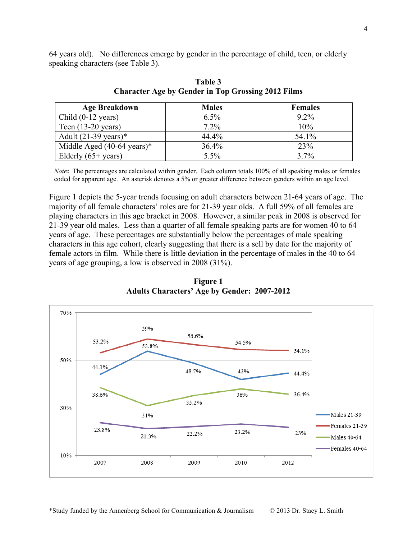64 years old). No differences emerge by gender in the percentage of child, teen, or elderly speaking characters (see Table 3).

| <b>Age Breakdown</b>                  | <b>Males</b> | <b>Females</b> |
|---------------------------------------|--------------|----------------|
| Child $(0-12 \text{ years})$          | 6.5%         | $9.2\%$        |
| Teen $(13-20 \text{ years})$          | 7.2%         | 10%            |
| Adult $(21-39 \text{ years})^*$       | 44.4%        | 54.1%          |
| Middle Aged $(40-64 \text{ years})$ * | 36.4%        | 23%            |
| Elderly $(65+)$ years)                | $5.5\%$      | 3.7%           |

**Table 3 Character Age by Gender in Top Grossing 2012 Films**

 *Note***:** The percentages are calculated within gender. Each column totals 100% of all speaking males or females coded for apparent age. An asterisk denotes a 5% or greater difference between genders within an age level.

Figure 1 depicts the 5-year trends focusing on adult characters between 21-64 years of age. The majority of all female characters' roles are for 21-39 year olds. A full 59% of all females are playing characters in this age bracket in 2008. However, a similar peak in 2008 is observed for 21-39 year old males. Less than a quarter of all female speaking parts are for women 40 to 64 years of age. These percentages are substantially below the percentages of male speaking characters in this age cohort, clearly suggesting that there is a sell by date for the majority of female actors in film. While there is little deviation in the percentage of males in the 40 to 64 years of age grouping, a low is observed in 2008 (31%).



**Figure 1 Adults Characters' Age by Gender: 2007-2012**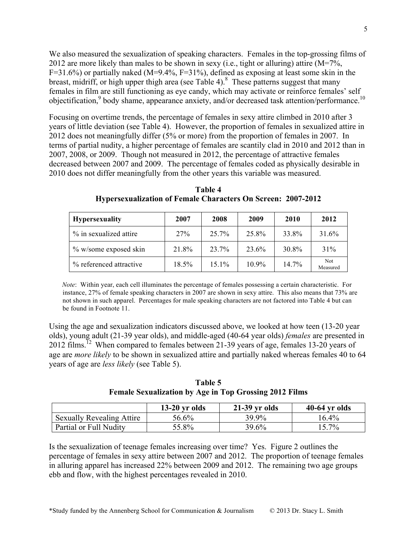We also measured the sexualization of speaking characters. Females in the top-grossing films of 2012 are more likely than males to be shown in sexy (i.e., tight or alluring) attire (M=7%,  $F=31.6\%$ ) or partially naked (M=9.4%, F=31%), defined as exposing at least some skin in the breast, midriff, or high upper thigh area (see Table 4). 8 These patterns suggest that many females in film are still functioning as eye candy, which may activate or reinforce females' self objectification,<sup>9</sup> body shame, appearance anxiety, and/or decreased task attention/performance.<sup>10</sup>

Focusing on overtime trends, the percentage of females in sexy attire climbed in 2010 after 3 years of little deviation (see Table 4). However, the proportion of females in sexualized attire in 2012 does not meaningfully differ (5% or more) from the proportion of females in 2007. In terms of partial nudity, a higher percentage of females are scantily clad in 2010 and 2012 than in 2007, 2008, or 2009. Though not measured in 2012, the percentage of attractive females decreased between 2007 and 2009. The percentage of females coded as physically desirable in 2010 does not differ meaningfully from the other years this variable was measured.

| <b>Hypersexuality</b>    | 2007  | 2008     | 2009     | 2010  | 2012                   |
|--------------------------|-------|----------|----------|-------|------------------------|
| % in sexualized attire   | 27%   | 25.7%    | 25.8%    | 33.8% | 31.6%                  |
| $\%$ w/some exposed skin | 21.8% | 23.7%    | 23.6%    | 30.8% | 31%                    |
| % referenced attractive  | 18.5% | $15.1\%$ | $10.9\%$ | 14.7% | <b>Not</b><br>Measured |

**Table 4 Hypersexualization of Female Characters On Screen: 2007-2012**

 *Note*: Within year, each cell illuminates the percentage of females possessing a certain characteristic. For instance, 27% of female speaking characters in 2007 are shown in sexy attire. This also means that 73% are not shown in such apparel. Percentages for male speaking characters are not factored into Table 4 but can be found in Footnote 11.

Using the age and sexualization indicators discussed above, we looked at how teen (13-20 year olds), young adult (21-39 year olds), and middle-aged (40-64 year olds) *females* are presented in 2012 films.<sup>12</sup> When compared to females between 21-39 years of age, females 13-20 years of age are *more likely* to be shown in sexualized attire and partially naked whereas females 40 to 64 years of age are *less likely* (see Table 5).

**Table 5 Female Sexualization by Age in Top Grossing 2012 Films**

|                                  | $13-20$ yr olds | $21-39$ yr olds | $40-64$ yr olds |
|----------------------------------|-----------------|-----------------|-----------------|
| <b>Sexually Revealing Attire</b> | 56.6%           | 39.9%           | $16.4\%$        |
| Partial or Full Nudity           | 55.8%           | 39.6%           | 15.7%           |

Is the sexualization of teenage females increasing over time? Yes. Figure 2 outlines the percentage of females in sexy attire between 2007 and 2012. The proportion of teenage females in alluring apparel has increased 22% between 2009 and 2012. The remaining two age groups ebb and flow, with the highest percentages revealed in 2010.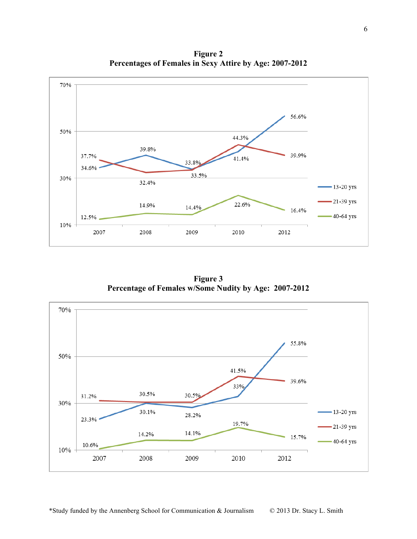**Figure 2 Percentages of Females in Sexy Attire by Age: 2007-2012**



**Figure 3 Percentage of Females w/Some Nudity by Age: 2007-2012**

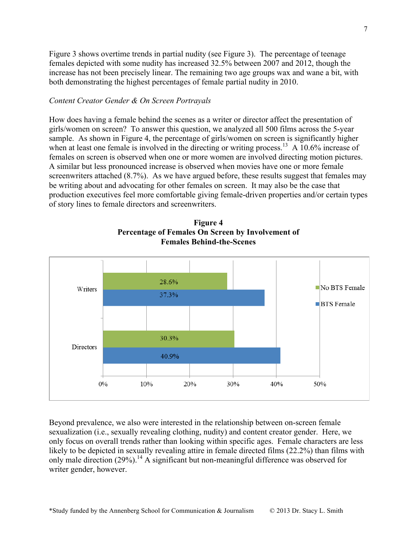Figure 3 shows overtime trends in partial nudity (see Figure 3). The percentage of teenage females depicted with some nudity has increased 32.5% between 2007 and 2012, though the increase has not been precisely linear. The remaining two age groups wax and wane a bit, with both demonstrating the highest percentages of female partial nudity in 2010.

### *Content Creator Gender & On Screen Portrayals*

How does having a female behind the scenes as a writer or director affect the presentation of girls/women on screen? To answer this question, we analyzed all 500 films across the 5-year sample. As shown in Figure 4, the percentage of girls/women on screen is significantly higher when at least one female is involved in the directing or writing process.<sup>13</sup> A 10.6% increase of females on screen is observed when one or more women are involved directing motion pictures. A similar but less pronounced increase is observed when movies have one or more female screenwriters attached (8.7%). As we have argued before, these results suggest that females may be writing about and advocating for other females on screen. It may also be the case that production executives feel more comfortable giving female-driven properties and/or certain types of story lines to female directors and screenwriters.





Beyond prevalence, we also were interested in the relationship between on-screen female sexualization (i.e., sexually revealing clothing, nudity) and content creator gender. Here, we only focus on overall trends rather than looking within specific ages. Female characters are less likely to be depicted in sexually revealing attire in female directed films (22.2%) than films with only male direction  $(29\%)$ .<sup>14</sup> A significant but non-meaningful difference was observed for writer gender, however.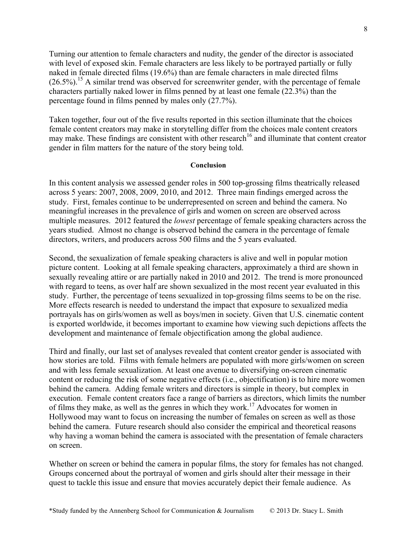Turning our attention to female characters and nudity, the gender of the director is associated with level of exposed skin. Female characters are less likely to be portrayed partially or fully naked in female directed films (19.6%) than are female characters in male directed films  $(26.5\%)$ <sup>15</sup> A similar trend was observed for screenwriter gender, with the percentage of female characters partially naked lower in films penned by at least one female (22.3%) than the percentage found in films penned by males only (27.7%).

Taken together, four out of the five results reported in this section illuminate that the choices female content creators may make in storytelling differ from the choices male content creators may make. These findings are consistent with other research<sup>16</sup> and illuminate that content creator gender in film matters for the nature of the story being told.

### **Conclusion**

In this content analysis we assessed gender roles in 500 top-grossing films theatrically released across 5 years: 2007, 2008, 2009, 2010, and 2012. Three main findings emerged across the study. First, females continue to be underrepresented on screen and behind the camera. No meaningful increases in the prevalence of girls and women on screen are observed across multiple measures. 2012 featured the *lowest* percentage of female speaking characters across the years studied. Almost no change is observed behind the camera in the percentage of female directors, writers, and producers across 500 films and the 5 years evaluated.

Second, the sexualization of female speaking characters is alive and well in popular motion picture content. Looking at all female speaking characters, approximately a third are shown in sexually revealing attire or are partially naked in 2010 and 2012. The trend is more pronounced with regard to teens, as over half are shown sexualized in the most recent year evaluated in this study. Further, the percentage of teens sexualized in top-grossing films seems to be on the rise. More effects research is needed to understand the impact that exposure to sexualized media portrayals has on girls/women as well as boys/men in society. Given that U.S. cinematic content is exported worldwide, it becomes important to examine how viewing such depictions affects the development and maintenance of female objectification among the global audience.

Third and finally, our last set of analyses revealed that content creator gender is associated with how stories are told. Films with female helmers are populated with more girls/women on screen and with less female sexualization. At least one avenue to diversifying on-screen cinematic content or reducing the risk of some negative effects (i.e., objectification) is to hire more women behind the camera. Adding female writers and directors is simple in theory, but complex in execution. Female content creators face a range of barriers as directors, which limits the number of films they make, as well as the genres in which they work.17 Advocates for women in Hollywood may want to focus on increasing the number of females on screen as well as those behind the camera. Future research should also consider the empirical and theoretical reasons why having a woman behind the camera is associated with the presentation of female characters on screen.

Whether on screen or behind the camera in popular films, the story for females has not changed. Groups concerned about the portrayal of women and girls should alter their message in their quest to tackle this issue and ensure that movies accurately depict their female audience. As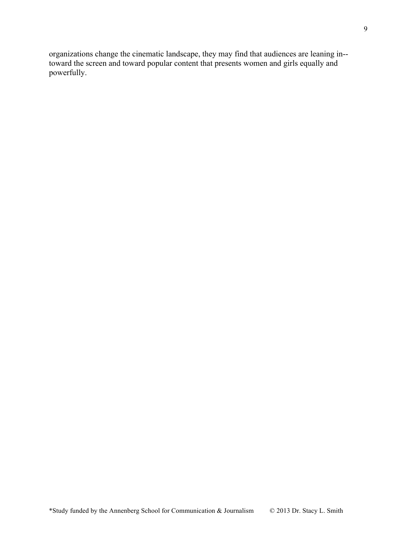organizations change the cinematic landscape, they may find that audiences are leaning in- toward the screen and toward popular content that presents women and girls equally and powerfully.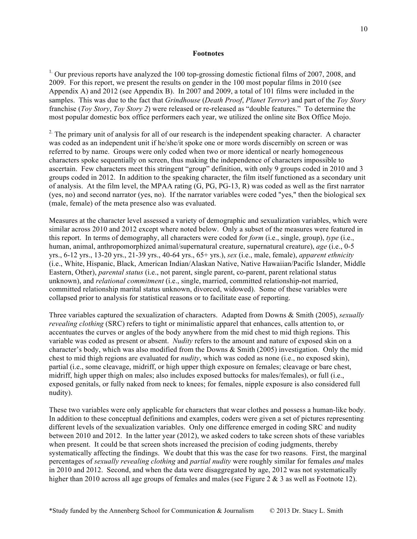#### **Footnotes**

<sup>1.</sup> Our previous reports have analyzed the 100 top-grossing domestic fictional films of 2007, 2008, and 2009. For this report, we present the results on gender in the 100 most popular films in 2010 (see Appendix A) and 2012 (see Appendix B). In 2007 and 2009, a total of 101 films were included in the samples. This was due to the fact that *Grindhouse* (*Death Proof*, *Planet Terror*) and part of the *Toy Story* franchise (*Toy Story*, *Toy Story 2*) were released or re-released as "double features." To determine the most popular domestic box office performers each year, we utilized the online site Box Office Mojo.

 $2\degree$  The primary unit of analysis for all of our research is the independent speaking character. A character was coded as an independent unit if he/she/it spoke one or more words discernibly on screen or was referred to by name. Groups were only coded when two or more identical or nearly homogeneous characters spoke sequentially on screen, thus making the independence of characters impossible to ascertain. Few characters meet this stringent "group" definition, with only 9 groups coded in 2010 and 3 groups coded in 2012. In addition to the speaking character, the film itself functioned as a secondary unit of analysis. At the film level, the MPAA rating (G, PG, PG-13, R) was coded as well as the first narrator (yes, no) and second narrator (yes, no). If the narrator variables were coded "yes," then the biological sex (male, female) of the meta presence also was evaluated.

Measures at the character level assessed a variety of demographic and sexualization variables, which were similar across 2010 and 2012 except where noted below. Only a subset of the measures were featured in this report. In terms of demography, all characters were coded for *form* (i.e., single, group), *type* (i.e., human, animal, anthropomorphized animal/supernatural creature, supernatural creature), *age* (i.e., 0-5 yrs., 6-12 yrs., 13-20 yrs., 21-39 yrs., 40-64 yrs., 65+ yrs.), *sex* (i.e., male, female), *apparent ethnicity* (i.e., White, Hispanic, Black, American Indian/Alaskan Native, Native Hawaiian/Pacific Islander, Middle Eastern, Other), *parental status* (i.e., not parent, single parent, co-parent, parent relational status unknown), and *relational commitment* (i.e., single, married, committed relationship-not married, committed relationship marital status unknown, divorced, widowed). Some of these variables were collapsed prior to analysis for statistical reasons or to facilitate ease of reporting.

Three variables captured the sexualization of characters. Adapted from Downs & Smith (2005), *sexually revealing clothing* (SRC) refers to tight or minimalistic apparel that enhances, calls attention to, or accentuates the curves or angles of the body anywhere from the mid chest to mid thigh regions. This variable was coded as present or absent. *Nudity* refers to the amount and nature of exposed skin on a character's body, which was also modified from the Downs & Smith (2005) investigation. Only the mid chest to mid thigh regions are evaluated for *nudity*, which was coded as none (i.e., no exposed skin), partial (i.e., some cleavage, midriff, or high upper thigh exposure on females; cleavage or bare chest, midriff, high upper thigh on males; also includes exposed buttocks for males/females), or full (i.e., exposed genitals, or fully naked from neck to knees; for females, nipple exposure is also considered full nudity).

These two variables were only applicable for characters that wear clothes and possess a human-like body. In addition to these conceptual definitions and examples, coders were given a set of pictures representing different levels of the sexualization variables. Only one difference emerged in coding SRC and nudity between 2010 and 2012. In the latter year (2012), we asked coders to take screen shots of these variables when present. It could be that screen shots increased the precision of coding judgments, thereby systematically affecting the findings. We doubt that this was the case for two reasons. First, the marginal percentages of *sexually revealing clothing* and *partial nudity* were roughly similar for females *and* males in 2010 and 2012. Second, and when the data were disaggregated by age, 2012 was not systematically higher than 2010 across all age groups of females and males (see Figure 2 & 3 as well as Footnote 12).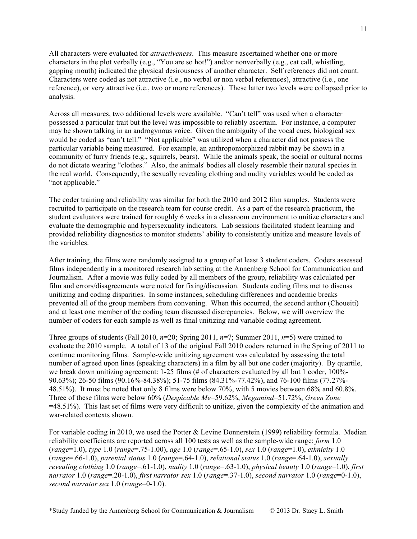All characters were evaluated for *attractiveness*. This measure ascertained whether one or more characters in the plot verbally (e.g., "You are so hot!") and/or nonverbally (e.g., cat call, whistling, gapping mouth) indicated the physical desirousness of another character. Self references did not count. Characters were coded as not attractive (i.e., no verbal or non verbal references), attractive (i.e., one reference), or very attractive (i.e., two or more references). These latter two levels were collapsed prior to analysis.

Across all measures, two additional levels were available. "Can't tell" was used when a character possessed a particular trait but the level was impossible to reliably ascertain. For instance, a computer may be shown talking in an androgynous voice. Given the ambiguity of the vocal cues, biological sex would be coded as "can't tell." "Not applicable" was utilized when a character did not possess the particular variable being measured. For example, an anthropomorphized rabbit may be shown in a community of furry friends (e.g., squirrels, bears). While the animals speak, the social or cultural norms do not dictate wearing "clothes." Also, the animals' bodies all closely resemble their natural species in the real world. Consequently, the sexually revealing clothing and nudity variables would be coded as "not applicable."

The coder training and reliability was similar for both the 2010 and 2012 film samples. Students were recruited to participate on the research team for course credit. As a part of the research practicum, the student evaluators were trained for roughly 6 weeks in a classroom environment to unitize characters and evaluate the demographic and hypersexuality indicators. Lab sessions facilitated student learning and provided reliability diagnostics to monitor students' ability to consistently unitize and measure levels of the variables.

After training, the films were randomly assigned to a group of at least 3 student coders. Coders assessed films independently in a monitored research lab setting at the Annenberg School for Communication and Journalism. After a movie was fully coded by all members of the group, reliability was calculated per film and errors/disagreements were noted for fixing/discussion. Students coding films met to discuss unitizing and coding disparities. In some instances, scheduling differences and academic breaks prevented all of the group members from convening. When this occurred, the second author (Choueiti) and at least one member of the coding team discussed discrepancies. Below, we will overview the number of coders for each sample as well as final unitizing and variable coding agreement.

Three groups of students (Fall 2010,  $n=20$ ; Spring 2011,  $n=7$ ; Summer 2011,  $n=5$ ) were trained to evaluate the 2010 sample. A total of 13 of the original Fall 2010 coders returned in the Spring of 2011 to continue monitoring films. Sample-wide unitizing agreement was calculated by assessing the total number of agreed upon lines (speaking characters) in a film by all but one coder (majority). By quartile, we break down unitizing agreement: 1-25 films (# of characters evaluated by all but 1 coder, 100%-90.63%); 26-50 films (90.16%-84.38%); 51-75 films (84.31%-77.42%), and 76-100 films (77.27%- 48.51%). It must be noted that only 8 films were below 70%, with 5 movies between 68% and 60.8%. Three of these films were below 60% (*Despicable Me*=59.62%, *Megamind*=51.72%, *Green Zone* =48.51%). This last set of films were very difficult to unitize, given the complexity of the animation and war-related contexts shown.

For variable coding in 2010, we used the Potter & Levine Donnerstein (1999) reliability formula. Median reliability coefficients are reported across all 100 tests as well as the sample-wide range: *form* 1.0 (*range*=1.0), *type* 1.0 (*range*=.75-1.00), *age* 1.0 (*range*=.65-1.0), *sex* 1.0 (*range*=1.0), *ethnicity* 1.0 (*range*=.66-1.0), *parental status* 1.0 (*range*=.64-1.0), *relational status* 1.0 (*range*=.64-1.0), *sexually revealing clothing* 1.0 (*range*=.61-1.0), *nudity* 1.0 (*range*=.63-1.0), *physical beauty* 1.0 (*range*=1.0), *first narrator* 1.0 (*range*=.20-1.0), *first narrator sex* 1.0 (*range*=.37-1.0), *second narrator* 1.0 (*range*=0-1.0), *second narrator sex* 1.0 (*range*=0-1.0).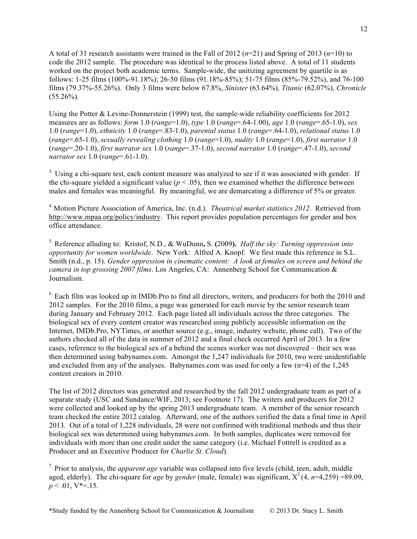A total of 31 research assistants were trained in the Fall of 2012 (*n*=21) and Spring of 2013 (*n*=10) to code the 2012 sample. The procedure was identical to the process listed above. A total of 11 students worked on the project both academic terms. Sample-wide, the unitizing agreement by quartile is as follows: 1-25 films (100%-91.18%); 26-50 films (91.18%-85%); 51-75 films (85%-79.52%), and 76-100 films (79.37%-55.26%). Only 3 films were below 67.8%, *Sinister* (63.64%)*, Titanic* (62.07%), *Chronicle*  $(55.26\%)$ .

Using the Potter & Levine-Donnerstein (1999) test, the sample-wide reliability coefficients for 2012 measures are as follows: *form* 1.0 (*range*=1.0), *type* 1.0 (*range*=.64-1.00), *age* 1.0 (*range*=.65-1.0), *sex* 1.0 (*range*=1.0), *ethnicity* 1.0 (*range*=.83-1.0), *parental status* 1.0 (*range*=.64-1.0), *relational status* 1.0 (*range*=.65-1.0), *sexually revealing clothing* 1.0 (*range*=1.0), *nudity* 1.0 (*range*=1.0), *first narrator* 1.0 (*range*=.20-1.0), *first narrator sex* 1.0 (*range*=.37-1.0), *second narrator* 1.0 (*range*=.47-1.0), *second narrator sex* 1.0 (*range*=.61-1.0).

 $3.$  Using a chi-square test, each content measure was analyzed to see if it was associated with gender. If the chi-square yielded a significant value ( $p < .05$ ), then we examined whether the difference between males and females was meaningful. By meaningful, we are demarcating a difference of 5% or greater.

4. Motion Picture Association of America, Inc. (n.d.). *Theatrical market statistics 2012*. Retrieved from http://www.mpaa.org/policy/industry. This report provides population percentages for gender and box office attendance.

5. Reference alluding to: Kristof, N.D., & WuDunn**,** S. **(**2009**).** *Half the sky: Turning oppression into opportunity for women worldwide*. New York: Alfred A. Knopf. We first made this reference in S.L. Smith (n.d., p. 15). *Gender oppression in cinematic content: A look at females on screen and behind the camera in top grossing 2007 films*. Los Angeles, CA: Annenberg School for Communication & Journalism.

 $6.$  Each film was looked up in IMDb.Pro to find all directors, writers, and producers for both the 2010 and 2012 samples. For the 2010 films, a page was generated for each movie by the senior research team during January and February 2012. Each page listed all individuals across the three categories. The biological sex of every content creator was researched using publicly accessible information on the Internet, IMDb.Pro, NYTimes, or another source (e.g., image, industry website, phone call). Two of the authors checked all of the data in summer of 2012 and a final check occurred April of 2013. In a few cases, reference to the biological sex of a behind the scenes worker was not discovered – their sex was then determined using babynames.com. Amongst the 1,247 individuals for 2010, two were unidentifiable and excluded from any of the analyses. Babynames.com was used for only a few (n=4) of the 1,245 content creators in 2010.

The list of 2012 directors was generated and researched by the fall 2012 undergraduate team as part of a separate study (USC and Sundance/WIF, 2013; see Footnote 17). The writers and producers for 2012 were collected and looked up by the spring 2013 undergraduate team. A member of the senior research team checked the entire 2012 catalog. Afterward, one of the authors verified the data a final time in April 2013. Out of a total of 1,228 individuals, 28 were not confirmed with traditional methods and thus their biological sex was determined using babynames.com. In both samples, duplicates were removed for individuals with more than one credit under the same category (i.e. Michael Fottrell is credited as a Producer and an Executive Producer for *Charlie St. Cloud*).

<sup>7</sup>. Prior to analysis, the *apparent age* variable was collapsed into five levels (child, teen, adult, middle aged, elderly). The chi-square for *age* by *gender* (male, female) was significant,  $X^2(4, n=4,259) = 89.09$ ,  $p < .01$ , V<sup>\*</sup>=.15.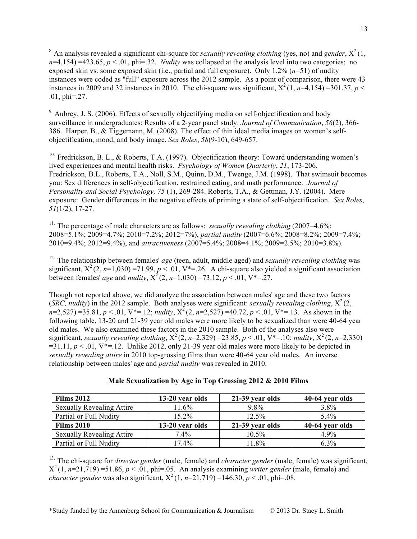<sup>8</sup>. An analysis revealed a significant chi-square for *sexually revealing clothing* (yes, no) and *gender*,  $X^2(1)$ ,  $n=4.154$ ) =423.65,  $p < 0.01$ , phi=.32. *Nudity* was collapsed at the analysis level into two categories: no exposed skin vs. some exposed skin (i.e., partial and full exposure). Only 1.2% (*n*=51) of nudity instances were coded as "full" exposure across the 2012 sample. As a point of comparison, there were 43 instances in 2009 and 32 instances in 2010. The chi-square was significant,  $X^2(1, n=4,154) = 301.37, p <$ .01, phi=.27.

 $9.$  Aubrey, J. S. (2006). Effects of sexually objectifying media on self-objectification and body surveillance in undergraduates: Results of a 2-year panel study. *Journal of Communication*, 56(2), 366-386. Harper, B., & Tiggemann, M. (2008). The effect of thin ideal media images on women's selfobjectification, mood, and body image. *Sex Roles*, *58*(9-10), 649-657.

<sup>10.</sup> Fredrickson, B. L., & Roberts, T.A. (1997). Objectification theory: Toward understanding women's lived experiences and mental health risks. *Psychology of Women Quarterly*, *21*, 173-206. Fredrickson, B.L., Roberts, T.A., Noll, S.M., Quinn, D.M., Twenge, J.M. (1998). That swimsuit becomes you: Sex differences in self-objectification, restrained eating, and math performance. *Journal of Personality and Social Psychology, 75* (1), 269-284. Roberts, T.A., & Gettman, J.Y. (2004). Mere exposure: Gender differences in the negative effects of priming a state of self-objectification. *Sex Roles*, *51*(1/2), 17-27.

<sup>11.</sup> The percentage of male characters are as follows: *sexually revealing clothing*  $(2007=4.6\%;$ 2008=5.1%; 2009=4.7%; 2010=7.2%; 2012=7%), *partial nudity* (2007=6.6%; 2008=8.2%; 2009=7.4%; 2010=9.4%; 2012=9.4%), and *attractiveness* (2007=5.4%; 2008=4.1%; 2009=2.5%; 2010=3.8%).

12. The relationship between females' *age* (teen, adult, middle aged) and *sexually revealing clothing* was significant,  $X^2$  (2,  $n=1,030$ ) =71.99,  $p < 0.01$ , V\*=.26. A chi-square also yielded a significant association between females' *age* and *nudity*,  $X^2$  (2, *n*=1,030) =73.12, *p* < .01, V\*=.27.

Though not reported above, we did analyze the association between males' age and these two factors (*SRC, nudity*) in the 2012 sample. Both analyses were significant: *sexually revealing clothing*,  $X^2(2, 1)$  $n=2,527$ ) =35.81,  $p < .01$ ,  $V^*=12$ ; *nudity*,  $X^2(2, n=2,527)$  =40.72,  $p < .01$ ,  $V^*=13$ . As shown in the following table, 13-20 and 21-39 year old males were more likely to be sexualized than were 40-64 year old males. We also examined these factors in the 2010 sample. Both of the analyses also were significant, *sexually revealing clothing*,  $X^2(2, n=2,329) = 23.85, p < .01, V^* = .10$ ; *nudity*,  $X^2(2, n=2,330)$  $=31.11, p < 0.01$ ,  $V^* = 0.12$ . Unlike 2012, only 21-39 year old males were more likely to be depicted in *sexually revealing attire* in 2010 top-grossing films than were 40-64 year old males. An inverse relationship between males' age and *partial nudity* was revealed in 2010.

| <b>Films 2012</b>                | 13-20 year olds | 21-39 year olds | 40-64 year olds |
|----------------------------------|-----------------|-----------------|-----------------|
| <b>Sexually Revealing Attire</b> | 11.6%           | 9.8%            | $3.8\%$         |
| Partial or Full Nudity           | 15.2%           | $12.5\%$        | $5.4\%$         |
| <b>Films 2010</b>                | 13-20 year olds | 21-39 year olds | 40-64 year olds |
| <b>Sexually Revealing Attire</b> | $7.4\%$         | $10.5\%$        | $4.9\%$         |
| Partial or Full Nudity           | $17.4\%$        | 11.8%           | $6.3\%$         |

### **Male Sexualization by Age in Top Grossing 2012 & 2010 Films**

13. The chi-square for *director gender* (male, female) and *character gender* (male, female) was significant,  $X^2(1, n=21,719) = 51.86, p < .01$ , phi=.05. An analysis examining *writer gender* (male, female) and *character gender* was also significant,  $X^2(1, n=21,719) = 146.30, p < .01$ , phi=.08.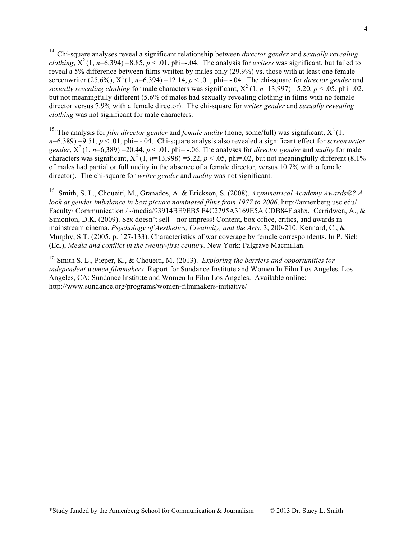14. Chi-square analyses reveal a significant relationship between *director gender* and *sexually revealing clothing*,  $X^2(1, n=6,394) = 8.85, p < 0.01$ , phi=-.04. The analysis for *writers* was significant, but failed to reveal a 5% difference between films written by males only (29.9%) vs. those with at least one female screenwriter (25.6%),  $X^2(1, n=6,394) = 12.14$ ,  $p < .01$ , phi= -.04. The chi-square for *director gender* and sexually revealing clothing for male characters was significant,  $X^2$  (1, *n*=13,997) =5.20, *p* < .05, phi=.02, but not meaningfully different (5.6% of males had sexually revealing clothing in films with no female director versus 7.9% with a female director). The chi-square for *writer gender* and *sexually revealing clothing* was not significant for male characters.

<sup>15.</sup> The analysis for *film director gender* and *female nudity* (none, some/full) was significant,  $X^2(1)$ ,  $n=6,389$ ) =9.51,  $p < 0.01$ , phi= -.04. Chi-square analysis also revealed a significant effect for *screenwriter gender*,  $\hat{X}^2$  (1,  $\hat{n}$ =6,389) = 20.44,  $p < 0.01$ , phi= -.06. The analyses for *director gender* and *nudity* for male characters was significant,  $X^2$  (1,  $n=13,998$ ) =5.22,  $p < .05$ , phi=.02, but not meaningfully different (8.1%) of males had partial or full nudity in the absence of a female director, versus 10.7% with a female director). The chi-square for *writer gender* and *nudity* was not significant.

16. Smith, S. L., Choueiti, M., Granados, A. & Erickson, S. (2008). *Asymmetrical Academy Awards®? A look at gender imbalance in best picture nominated films from 1977 to 2006*. http://annenberg.usc.edu/ Faculty/ Communication /~/media/93914BE9EB5 F4C2795A3169E5A CDB84F.ashx. Cerridwen, A., & Simonton, D.K. (2009). Sex doesn't sell – nor impress! Content, box office, critics, and awards in mainstream cinema. *Psychology of Aesthetics, Creativity, and the Arts.* 3, 200-210. Kennard, C., & Murphy, S.T. (2005, p. 127-133). Characteristics of war coverage by female correspondents. In P. Sieb (Ed.), *Media and conflict in the twenty-first century.* New York: Palgrave Macmillan.

17. Smith S. L., Pieper, K., & Choueiti, M. (2013). *Exploring the barriers and opportunities for independent women filmmakers*. Report for Sundance Institute and Women In Film Los Angeles. Los Angeles, CA: Sundance Institute and Women In Film Los Angeles. Available online: http://www.sundance.org/programs/women-filmmakers-initiative/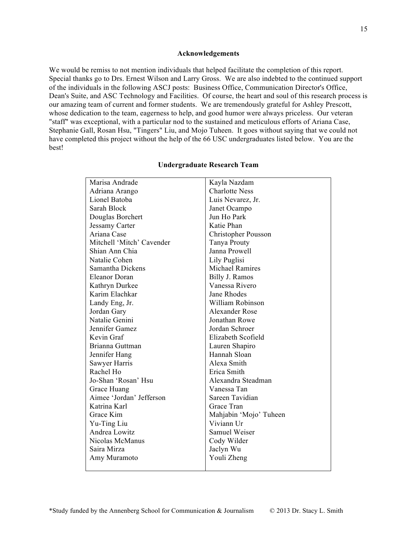### **Acknowledgements**

We would be remiss to not mention individuals that helped facilitate the completion of this report. Special thanks go to Drs. Ernest Wilson and Larry Gross. We are also indebted to the continued support of the individuals in the following ASCJ posts: Business Office, Communication Director's Office, Dean's Suite, and ASC Technology and Facilities. Of course, the heart and soul of this research process is our amazing team of current and former students. We are tremendously grateful for Ashley Prescott, whose dedication to the team, eagerness to help, and good humor were always priceless. Our veteran "staff" was exceptional, with a particular nod to the sustained and meticulous efforts of Ariana Case, Stephanie Gall, Rosan Hsu, "Tingers" Liu, and Mojo Tuheen. It goes without saying that we could not have completed this project without the help of the 66 USC undergraduates listed below. You are the best!

| Marisa Andrade            | Kayla Nazdam               |
|---------------------------|----------------------------|
| Adriana Arango            | <b>Charlotte Ness</b>      |
| Lionel Batoba             | Luis Nevarez, Jr.          |
| Sarah Block               | Janet Ocampo               |
| Douglas Borchert          | Jun Ho Park                |
| <b>Jessamy Carter</b>     | Katie Phan                 |
| Ariana Case               | <b>Christopher Pousson</b> |
| Mitchell 'Mitch' Cavender | Tanya Prouty               |
| Shian Ann Chia            | Janna Prowell              |
| Natalie Cohen             | Lily Puglisi               |
| Samantha Dickens          | <b>Michael Ramires</b>     |
| Eleanor Doran             | Billy J. Ramos             |
| Kathryn Durkee            | Vanessa Rivero             |
| Karim Elachkar            | Jane Rhodes                |
| Landy Eng, Jr.            | William Robinson           |
| Jordan Gary               | Alexander Rose             |
| Natalie Genini            | Jonathan Rowe              |
| Jennifer Gamez            | Jordan Schroer             |
| Kevin Graf                | Elizabeth Scofield         |
| Brianna Guttman           | Lauren Shapiro             |
| Jennifer Hang             | Hannah Sloan               |
| Sawyer Harris             | Alexa Smith                |
| Rachel Ho                 | Erica Smith                |
| Jo-Shan 'Rosan' Hsu       | Alexandra Steadman         |
| Grace Huang               | Vanessa Tan                |
| Aimee 'Jordan' Jefferson  | Sareen Tavidian            |
| Katrina Karl              | Grace Tran                 |
| Grace Kim                 | Mahjabin 'Mojo' Tuheen     |
| Yu-Ting Liu               | Viviann Ur                 |
| Andrea Lowitz             | <b>Samuel Weiser</b>       |
| Nicolas McManus           | Cody Wilder                |
| Saira Mirza               | Jaclyn Wu                  |
| Amy Muramoto              | Youli Zheng                |
|                           |                            |

### **Undergraduate Research Team**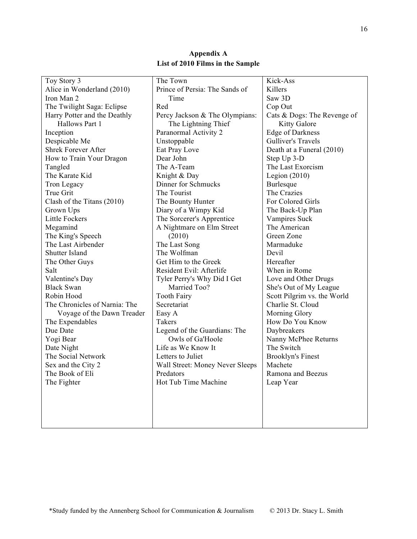|                                       | The Town                        | Kick-Ass                            |
|---------------------------------------|---------------------------------|-------------------------------------|
| Toy Story 3                           |                                 |                                     |
| Alice in Wonderland (2010)            | Prince of Persia: The Sands of  | Killers                             |
| Iron Man 2                            | Time                            | Saw 3D                              |
| The Twilight Saga: Eclipse            | Red                             | Cop Out                             |
| Harry Potter and the Deathly          | Percy Jackson & The Olympians:  | Cats & Dogs: The Revenge of         |
| Hallows Part 1                        | The Lightning Thief             | <b>Kitty Galore</b>                 |
| Inception                             | Paranormal Activity 2           | <b>Edge of Darkness</b>             |
| Despicable Me                         | Unstoppable                     | Gulliver's Travels                  |
| <b>Shrek Forever After</b>            | Eat Pray Love                   | Death at a Funeral (2010)           |
| How to Train Your Dragon              | Dear John                       | Step Up 3-D                         |
| Tangled                               | The A-Team                      | The Last Exorcism                   |
| The Karate Kid                        | Knight & Day                    | Legion $(2010)$                     |
| Tron Legacy                           | Dinner for Schmucks             | Burlesque                           |
| True Grit                             | The Tourist                     | The Crazies                         |
| Clash of the Titans (2010)            | The Bounty Hunter               | For Colored Girls                   |
| Grown Ups                             | Diary of a Wimpy Kid            | The Back-Up Plan                    |
| <b>Little Fockers</b>                 | The Sorcerer's Apprentice       | Vampires Suck                       |
| Megamind                              | A Nightmare on Elm Street       | The American                        |
| The King's Speech                     | (2010)                          | Green Zone                          |
| The Last Airbender                    | The Last Song                   | Marmaduke                           |
| Shutter Island                        | The Wolfman                     | Devil                               |
| The Other Guys                        | Get Him to the Greek            | Hereafter                           |
| Salt                                  | Resident Evil: Afterlife        | When in Rome                        |
| Valentine's Day                       | Tyler Perry's Why Did I Get     | Love and Other Drugs                |
| <b>Black Swan</b>                     | Married Too?                    | She's Out of My League              |
| Robin Hood                            | <b>Tooth Fairy</b>              | Scott Pilgrim vs. the World         |
| The Chronicles of Narnia: The         | Secretariat                     | Charlie St. Cloud                   |
| Voyage of the Dawn Treader            | Easy A                          | Morning Glory                       |
| The Expendables                       | Takers                          | How Do You Know                     |
| Due Date                              | Legend of the Guardians: The    | Daybreakers                         |
| Yogi Bear                             | Owls of Ga'Hoole                | Nanny McPhee Returns                |
| Date Night                            | Life as We Know It              | The Switch                          |
| The Social Network                    | Letters to Juliet               |                                     |
|                                       | Wall Street: Money Never Sleeps | <b>Brooklyn's Finest</b><br>Machete |
| Sex and the City 2<br>The Book of Eli |                                 | Ramona and Beezus                   |
|                                       | Predators                       |                                     |
| The Fighter                           | Hot Tub Time Machine            | Leap Year                           |
|                                       |                                 |                                     |
|                                       |                                 |                                     |
|                                       |                                 |                                     |
|                                       |                                 |                                     |
|                                       |                                 |                                     |

# **Appendix A List of 2010 Films in the Sample**